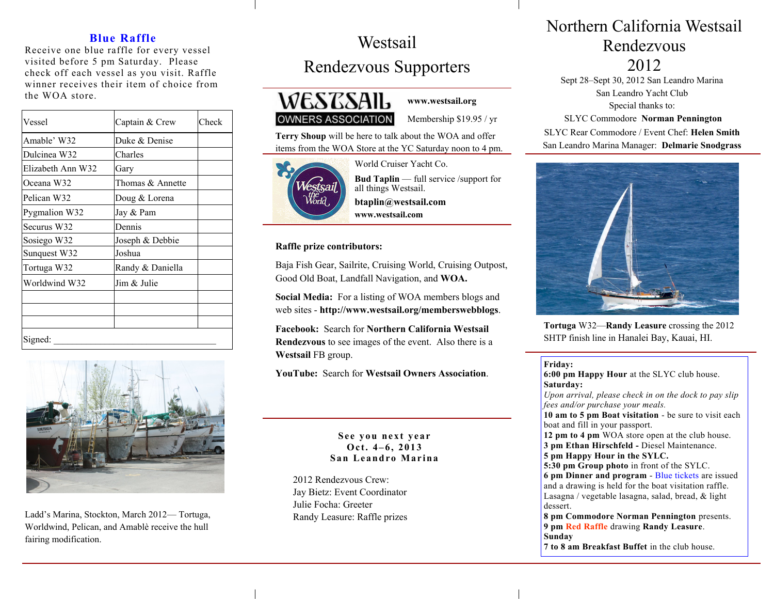### **Blue Raffle**

Receive one blue raffle for every vessel visited before 5 pm Saturday. Please check off each vessel as you visit. Raffle winner receives their item of choice from the WOA store.

| Vessel            | Captain & Crew   | Check |
|-------------------|------------------|-------|
| Amable' W32       | Duke & Denise    |       |
| Dulcinea W32      | Charles          |       |
| Elizabeth Ann W32 | Gary             |       |
| Oceana W32        | Thomas & Annette |       |
| Pelican W32       | Doug & Lorena    |       |
| Pygmalion W32     | Jay & Pam        |       |
| Securus W32       | Dennis           |       |
| Sosiego W32       | Joseph & Debbie  |       |
| Sunquest W32      | Joshua           |       |
| Tortuga W32       | Randy & Daniella |       |
| Worldwind W32     | Jim & Julie      |       |
|                   |                  |       |
|                   |                  |       |
| Signed:           |                  |       |



Ladd's Marina, Stockton, March 2012— Tortuga, Worldwind, Pelican, and Amablѐ receive the hull fairing modification.

# Westsail Rendezvous Supporters



**www.westsail.org**

## **OWNERS ASSOCIATION**

Membership \$19.95 / yr

**Terry Shoup** will be here to talk about the WOA and offer items from the WOA Store at the YC Saturday noon to 4 pm.



World Cruiser Yacht Co.

### **Bud Taplin** — full service /support for all things Westsail. **btaplin@westsail.com**

**www.westsail.com**

#### **Raffle prize contributors:**

Baja Fish Gear, Sailrite, Cruising World, Cruising Outpost, Good Old Boat, Landfall Navigation, and **WOA.**

**Social Media:** For a listing of WOA members blogs and web sites - **http://www.westsail.org/memberswebblogs**.

**Facebook:** Search for **Northern California Westsail Rendezvous** to see images of the event. Also there is a **Westsail** FB group.

**YouTube:** Search for **Westsail Owners Association**.

#### See you next year **Oc t . 4 – 6 , 2 0 1 3 San Leandro Marina**

2012 Rendezvous Crew: Jay Bietz: Event Coordinator Julie Focha: Greeter Randy Leasure: Raffle prizes

# Northern California Westsail Rendezvous

2012

Sept 28–Sept 30, 2012 San Leandro Marina San Leandro Yacht Club Special thanks to: SLYC Commodore **Norman Pennington** SLYC Rear Commodore / Event Chef: **Helen Smith**

San Leandro Marina Manager: **Delmarie Snodgrass** 



**Tortuga** W32—**Randy Leasure** crossing the 2012 SHTP finish line in Hanalei Bay, Kauai, HI.

#### **Friday:**

**6:00 pm Happy Hour** at the SLYC club house. **Saturday:**  *Upon arrival, please check in on the dock to pay slip fees and/or purchase your meals.*  **10 am to 5 pm Boat visitation** - be sure to visit each boat and fill in your passport. **12 pm to 4 pm** WOA store open at the club house. **3 pm Ethan Hirschfeld -** Diesel Maintenance. **5 pm Happy Hour in the SYLC. 5:30 pm Group photo** in front of the SYLC. **6 pm Dinner and program** - Blue tickets are issued and a drawing is held for the boat visitation raffle. Lasagna / vegetable lasagna, salad, bread, & light dessert. **8 pm Commodore Norman Pennington** presents. **9 pm Red Raffle** drawing **Randy Leasure**. **Sunday**

**7 to 8 am Breakfast Buffet** in the club house.